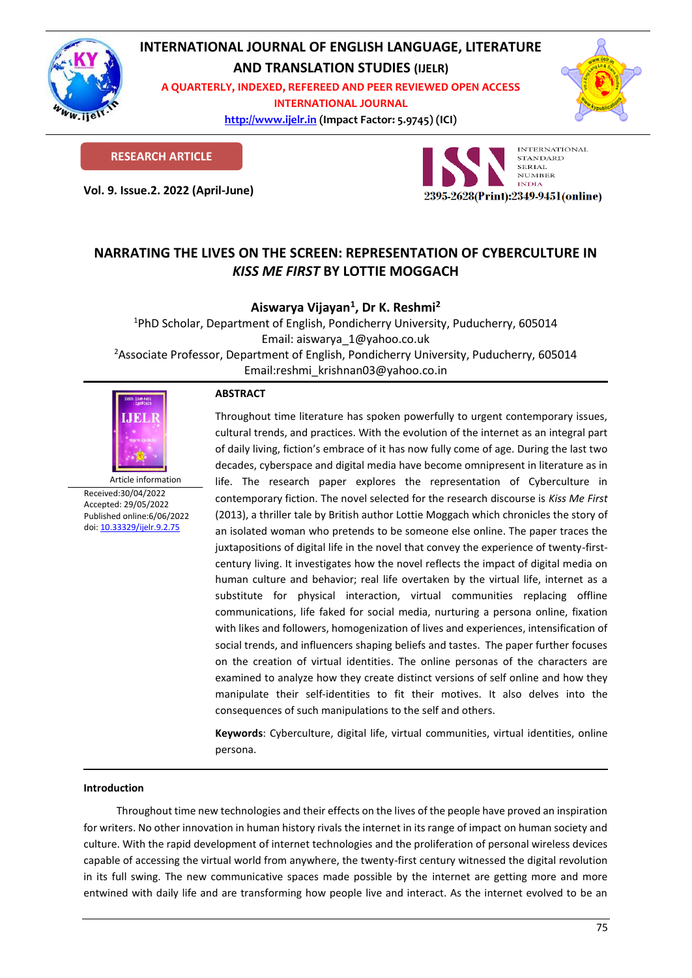

# **INTERNATIONAL JOURNAL OF ENGLISH LANGUAGE, LITERATURE**

**AND TRANSLATION STUDIES (IJELR)**

**A QUARTERLY, INDEXED, REFEREED AND PEER REVIEWED OPEN ACCESS INTERNATIONAL JOURNAL**

> **[http://www.ijelr.in](http://www.ijelr.in/) (Impact Factor: 5.9745) (ICI) KY PUBLICATIONS**



**RESEARCH ARTICLE**

**Vol. 9. Issue.2. 2022 (April-June) ARTICLE**



# **NARRATING THE LIVES ON THE SCREEN: REPRESENTATION OF CYBERCULTURE IN**  *KISS ME FIRST* **BY LOTTIE MOGGACH**

## **Aiswarya Vijayan<sup>1</sup> , Dr K. Reshmi<sup>2</sup>**

<sup>1</sup>PhD Scholar, Department of English, Pondicherry University, Puducherry, 605014 Email: aiswarya\_1@yahoo.co.uk <sup>2</sup>Associate Professor, Department of English, Pondicherry University, Puducherry, 605014 Email:reshmi\_krishnan03@yahoo.co.in



Article information Received:30/04/2022 Accepted: 29/05/2022 Published online:6/06/2022 [doi: 10.33329/ijelr.9.2.7](http://www.ijelr.in/)5

## **ABSTRACT**

Throughout time literature has spoken powerfully to urgent contemporary issues, cultural trends, and practices. With the evolution of the internet as an integral part of daily living, fiction's embrace of it has now fully come of age. During the last two decades, cyberspace and digital media have become omnipresent in literature as in life. The research paper explores the representation of Cyberculture in contemporary fiction. The novel selected for the research discourse is *Kiss Me First*  (2013), a thriller tale by British author Lottie Moggach which chronicles the story of an isolated woman who pretends to be someone else online. The paper traces the juxtapositions of digital life in the novel that convey the experience of twenty-firstcentury living. It investigates how the novel reflects the impact of digital media on human culture and behavior; real life overtaken by the virtual life, internet as a substitute for physical interaction, virtual communities replacing offline communications, life faked for social media, nurturing a persona online, fixation with likes and followers, homogenization of lives and experiences, intensification of social trends, and influencers shaping beliefs and tastes. The paper further focuses on the creation of virtual identities. The online personas of the characters are examined to analyze how they create distinct versions of self online and how they manipulate their self-identities to fit their motives. It also delves into the consequences of such manipulations to the self and others.

**Keywords**: Cyberculture, digital life, virtual communities, virtual identities, online persona.

### **Introduction**

Throughout time new technologies and their effects on the lives of the people have proved an inspiration for writers. No other innovation in human history rivals the internet in its range of impact on human society and culture. With the rapid development of internet technologies and the proliferation of personal wireless devices capable of accessing the virtual world from anywhere, the twenty-first century witnessed the digital revolution in its full swing. The new communicative spaces made possible by the internet are getting more and more entwined with daily life and are transforming how people live and interact. As the internet evolved to be an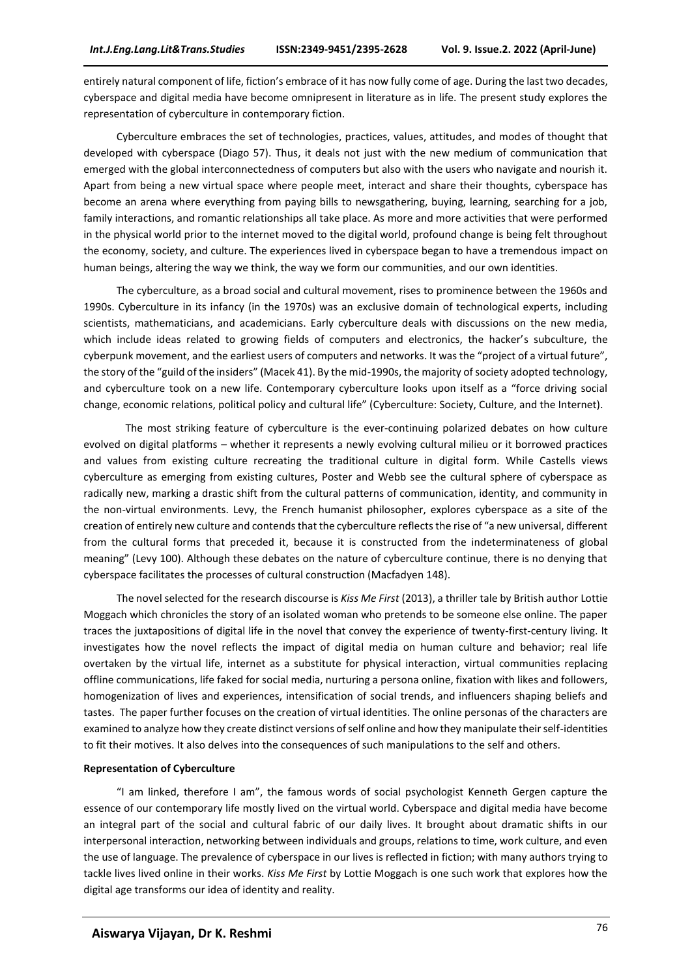entirely natural component of life, fiction's embrace of it has now fully come of age. During the last two decades, cyberspace and digital media have become omnipresent in literature as in life. The present study explores the representation of cyberculture in contemporary fiction.

Cyberculture embraces the set of technologies, practices, values, attitudes, and modes of thought that developed with cyberspace (Diago 57). Thus, it deals not just with the new medium of communication that emerged with the global interconnectedness of computers but also with the users who navigate and nourish it. Apart from being a new virtual space where people meet, interact and share their thoughts, cyberspace has become an arena where everything from paying bills to newsgathering, buying, learning, searching for a job, family interactions, and romantic relationships all take place. As more and more activities that were performed in the physical world prior to the internet moved to the digital world, profound change is being felt throughout the economy, society, and culture. The experiences lived in cyberspace began to have a tremendous impact on human beings, altering the way we think, the way we form our communities, and our own identities.

The cyberculture, as a broad social and cultural movement, rises to prominence between the 1960s and 1990s. Cyberculture in its infancy (in the 1970s) was an exclusive domain of technological experts, including scientists, mathematicians, and academicians. Early cyberculture deals with discussions on the new media, which include ideas related to growing fields of computers and electronics, the hacker's subculture, the cyberpunk movement, and the earliest users of computers and networks. It was the "project of a virtual future", the story of the "guild of the insiders" (Macek 41). By the mid-1990s, the majority of society adopted technology, and cyberculture took on a new life. Contemporary cyberculture looks upon itself as a "force driving social change, economic relations, political policy and cultural life" (Cyberculture: Society, Culture, and the Internet).

The most striking feature of cyberculture is the ever-continuing polarized debates on how culture evolved on digital platforms – whether it represents a newly evolving cultural milieu or it borrowed practices and values from existing culture recreating the traditional culture in digital form. While Castells views cyberculture as emerging from existing cultures, Poster and Webb see the cultural sphere of cyberspace as radically new, marking a drastic shift from the cultural patterns of communication, identity, and community in the non-virtual environments. Levy, the French humanist philosopher, explores cyberspace as a site of the creation of entirely new culture and contends that the cyberculture reflects the rise of "a new universal, different from the cultural forms that preceded it, because it is constructed from the indeterminateness of global meaning" (Levy 100). Although these debates on the nature of cyberculture continue, there is no denying that cyberspace facilitates the processes of cultural construction (Macfadyen 148).

The novel selected for the research discourse is *Kiss Me First* (2013), a thriller tale by British author Lottie Moggach which chronicles the story of an isolated woman who pretends to be someone else online. The paper traces the juxtapositions of digital life in the novel that convey the experience of twenty-first-century living. It investigates how the novel reflects the impact of digital media on human culture and behavior; real life overtaken by the virtual life, internet as a substitute for physical interaction, virtual communities replacing offline communications, life faked for social media, nurturing a persona online, fixation with likes and followers, homogenization of lives and experiences, intensification of social trends, and influencers shaping beliefs and tastes. The paper further focuses on the creation of virtual identities. The online personas of the characters are examined to analyze how they create distinct versions of self online and how they manipulate their self-identities to fit their motives. It also delves into the consequences of such manipulations to the self and others.

#### **Representation of Cyberculture**

"I am linked, therefore I am", the famous words of social psychologist Kenneth Gergen capture the essence of our contemporary life mostly lived on the virtual world. Cyberspace and digital media have become an integral part of the social and cultural fabric of our daily lives. It brought about dramatic shifts in our interpersonal interaction, networking between individuals and groups, relations to time, work culture, and even the use of language. The prevalence of cyberspace in our lives is reflected in fiction; with many authors trying to tackle lives lived online in their works. *Kiss Me First* by Lottie Moggach is one such work that explores how the digital age transforms our idea of identity and reality.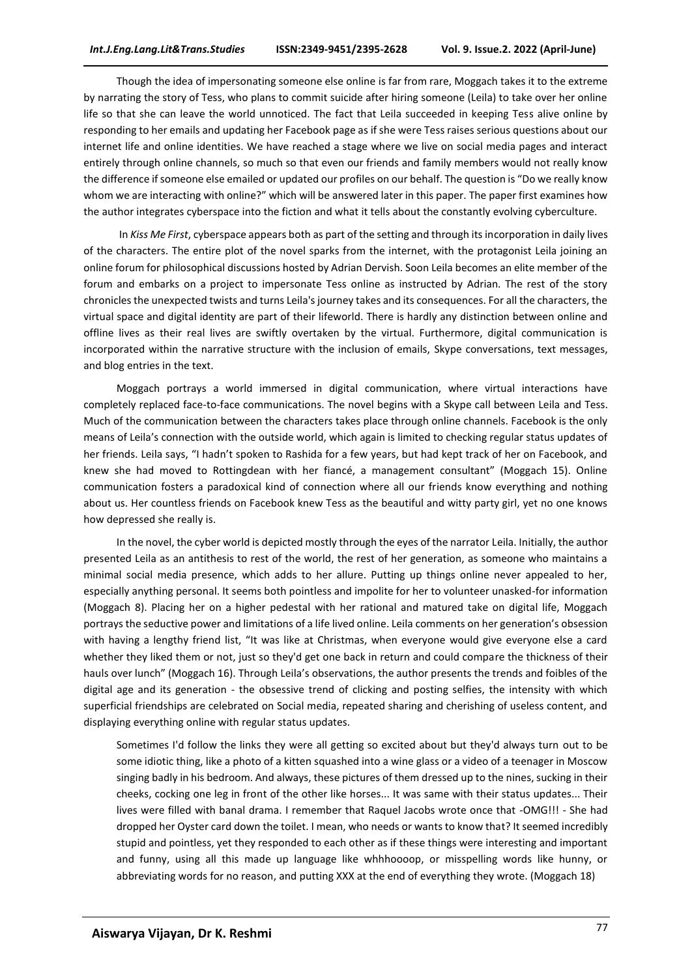Though the idea of impersonating someone else online is far from rare, Moggach takes it to the extreme by narrating the story of Tess, who plans to commit suicide after hiring someone (Leila) to take over her online life so that she can leave the world unnoticed. The fact that Leila succeeded in keeping Tess alive online by responding to her emails and updating her Facebook page as if she were Tess raises serious questions about our internet life and online identities. We have reached a stage where we live on social media pages and interact entirely through online channels, so much so that even our friends and family members would not really know the difference if someone else emailed or updated our profiles on our behalf. The question is "Do we really know whom we are interacting with online?" which will be answered later in this paper. The paper first examines how the author integrates cyberspace into the fiction and what it tells about the constantly evolving cyberculture.

In *Kiss Me First*, cyberspace appears both as part of the setting and through its incorporation in daily lives of the characters. The entire plot of the novel sparks from the internet, with the protagonist Leila joining an online forum for philosophical discussions hosted by Adrian Dervish. Soon Leila becomes an elite member of the forum and embarks on a project to impersonate Tess online as instructed by Adrian. The rest of the story chronicles the unexpected twists and turns Leila's journey takes and its consequences. For all the characters, the virtual space and digital identity are part of their lifeworld. There is hardly any distinction between online and offline lives as their real lives are swiftly overtaken by the virtual. Furthermore, digital communication is incorporated within the narrative structure with the inclusion of emails, Skype conversations, text messages, and blog entries in the text.

Moggach portrays a world immersed in digital communication, where virtual interactions have completely replaced face-to-face communications. The novel begins with a Skype call between Leila and Tess. Much of the communication between the characters takes place through online channels. Facebook is the only means of Leila's connection with the outside world, which again is limited to checking regular status updates of her friends. Leila says, "I hadn't spoken to Rashida for a few years, but had kept track of her on Facebook, and knew she had moved to Rottingdean with her fiancé, a management consultant" (Moggach 15). Online communication fosters a paradoxical kind of connection where all our friends know everything and nothing about us. Her countless friends on Facebook knew Tess as the beautiful and witty party girl, yet no one knows how depressed she really is.

In the novel, the cyber world is depicted mostly through the eyes of the narrator Leila. Initially, the author presented Leila as an antithesis to rest of the world, the rest of her generation, as someone who maintains a minimal social media presence, which adds to her allure. Putting up things online never appealed to her, especially anything personal. It seems both pointless and impolite for her to volunteer unasked-for information (Moggach 8). Placing her on a higher pedestal with her rational and matured take on digital life, Moggach portrays the seductive power and limitations of a life lived online. Leila comments on her generation's obsession with having a lengthy friend list, "It was like at Christmas, when everyone would give everyone else a card whether they liked them or not, just so they'd get one back in return and could compare the thickness of their hauls over lunch" (Moggach 16). Through Leila's observations, the author presents the trends and foibles of the digital age and its generation - the obsessive trend of clicking and posting selfies, the intensity with which superficial friendships are celebrated on Social media, repeated sharing and cherishing of useless content, and displaying everything online with regular status updates.

Sometimes I'd follow the links they were all getting so excited about but they'd always turn out to be some idiotic thing, like a photo of a kitten squashed into a wine glass or a video of a teenager in Moscow singing badly in his bedroom. And always, these pictures of them dressed up to the nines, sucking in their cheeks, cocking one leg in front of the other like horses... It was same with their status updates... Their lives were filled with banal drama. I remember that Raquel Jacobs wrote once that -OMG!!! - She had dropped her Oyster card down the toilet. I mean, who needs or wants to know that? It seemed incredibly stupid and pointless, yet they responded to each other as if these things were interesting and important and funny, using all this made up language like whhhoooop, or misspelling words like hunny, or abbreviating words for no reason, and putting XXX at the end of everything they wrote. (Moggach 18)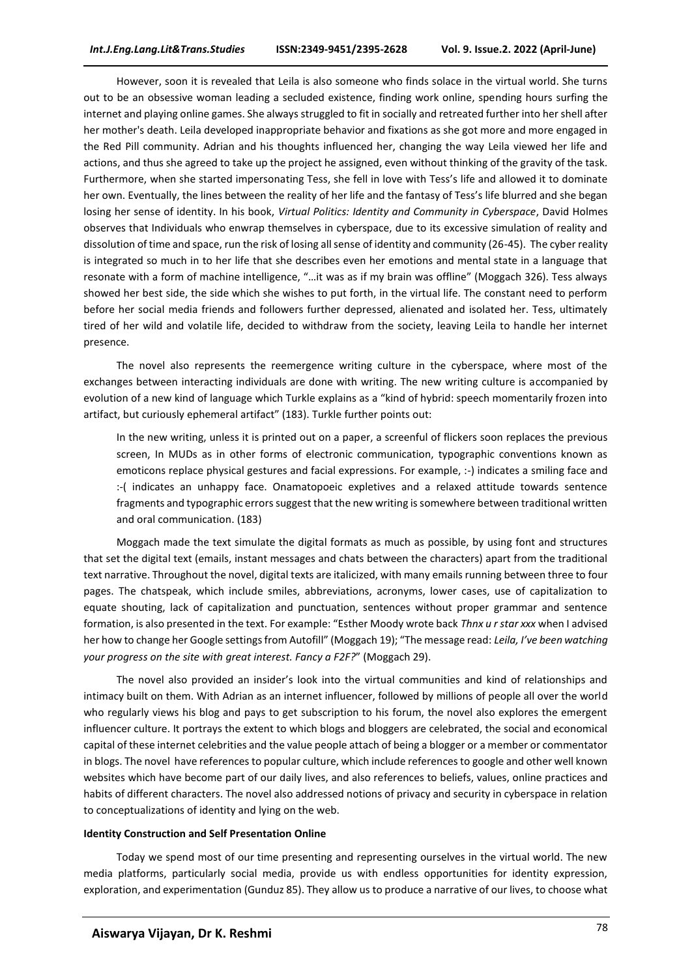However, soon it is revealed that Leila is also someone who finds solace in the virtual world. She turns out to be an obsessive woman leading a secluded existence, finding work online, spending hours surfing the internet and playing online games. She always struggled to fit in socially and retreated further into her shell after her mother's death. Leila developed inappropriate behavior and fixations as she got more and more engaged in the Red Pill community. Adrian and his thoughts influenced her, changing the way Leila viewed her life and actions, and thus she agreed to take up the project he assigned, even without thinking of the gravity of the task. Furthermore, when she started impersonating Tess, she fell in love with Tess's life and allowed it to dominate her own. Eventually, the lines between the reality of her life and the fantasy of Tess's life blurred and she began losing her sense of identity. In his book, *Virtual Politics: Identity and Community in Cyberspace*, David Holmes observes that Individuals who enwrap themselves in cyberspace, due to its excessive simulation of reality and dissolution of time and space, run the risk of losing all sense of identity and community (26-45). The cyber reality is integrated so much in to her life that she describes even her emotions and mental state in a language that resonate with a form of machine intelligence, "…it was as if my brain was offline" (Moggach 326). Tess always showed her best side, the side which she wishes to put forth, in the virtual life. The constant need to perform before her social media friends and followers further depressed, alienated and isolated her. Tess, ultimately tired of her wild and volatile life, decided to withdraw from the society, leaving Leila to handle her internet presence.

The novel also represents the reemergence writing culture in the cyberspace, where most of the exchanges between interacting individuals are done with writing. The new writing culture is accompanied by evolution of a new kind of language which Turkle explains as a "kind of hybrid: speech momentarily frozen into artifact, but curiously ephemeral artifact" (183). Turkle further points out:

In the new writing, unless it is printed out on a paper, a screenful of flickers soon replaces the previous screen, In MUDs as in other forms of electronic communication, typographic conventions known as emoticons replace physical gestures and facial expressions. For example, :-) indicates a smiling face and :-( indicates an unhappy face. Onamatopoeic expletives and a relaxed attitude towards sentence fragments and typographic errors suggest that the new writing is somewhere between traditional written and oral communication. (183)

Moggach made the text simulate the digital formats as much as possible, by using font and structures that set the digital text (emails, instant messages and chats between the characters) apart from the traditional text narrative. Throughout the novel, digital texts are italicized, with many emails running between three to four pages. The chatspeak, which include smiles, abbreviations, acronyms, lower cases, use of capitalization to equate shouting, lack of capitalization and punctuation, sentences without proper grammar and sentence formation, is also presented in the text. For example: "Esther Moody wrote back *Thnx u r star xxx* when I advised her how to change her Google settings from Autofill" (Moggach 19); "The message read: *Leila, I've been watching your progress on the site with great interest. Fancy a F2F?*" (Moggach 29).

The novel also provided an insider's look into the virtual communities and kind of relationships and intimacy built on them. With Adrian as an internet influencer, followed by millions of people all over the world who regularly views his blog and pays to get subscription to his forum, the novel also explores the emergent influencer culture. It portrays the extent to which blogs and bloggers are celebrated, the social and economical capital of these internet celebrities and the value people attach of being a blogger or a member or commentator in blogs. The novel have references to popular culture, which include references to google and other well known websites which have become part of our daily lives, and also references to beliefs, values, online practices and habits of different characters. The novel also addressed notions of privacy and security in cyberspace in relation to conceptualizations of identity and lying on the web.

#### **Identity Construction and Self Presentation Online**

Today we spend most of our time presenting and representing ourselves in the virtual world. The new media platforms, particularly social media, provide us with endless opportunities for identity expression, exploration, and experimentation (Gunduz 85). They allow us to produce a narrative of our lives, to choose what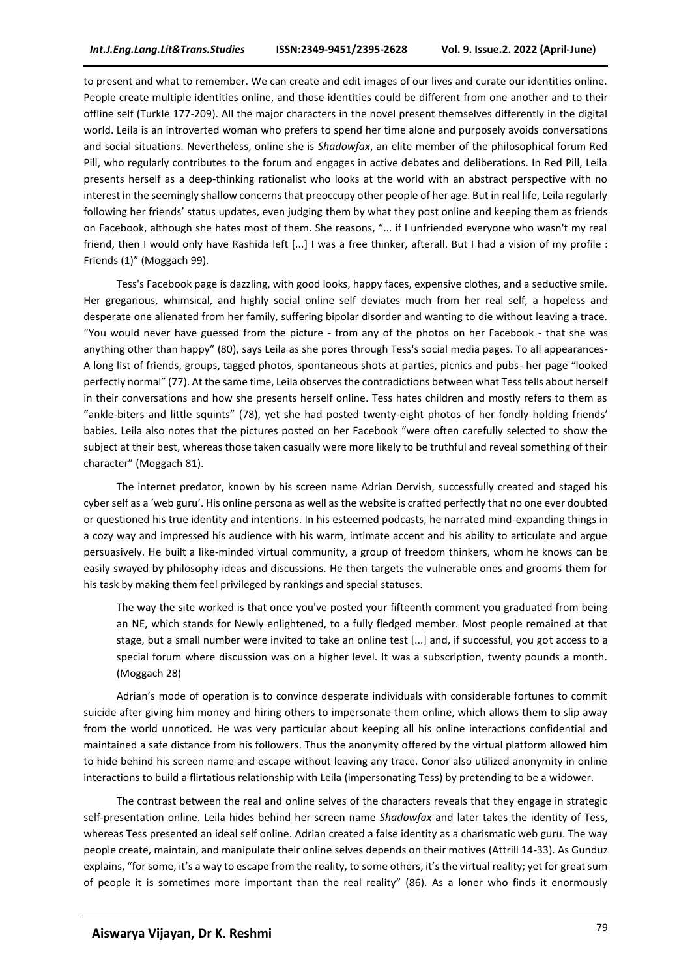to present and what to remember. We can create and edit images of our lives and curate our identities online. People create multiple identities online, and those identities could be different from one another and to their offline self (Turkle 177-209). All the major characters in the novel present themselves differently in the digital world. Leila is an introverted woman who prefers to spend her time alone and purposely avoids conversations and social situations. Nevertheless, online she is *Shadowfax*, an elite member of the philosophical forum Red Pill, who regularly contributes to the forum and engages in active debates and deliberations. In Red Pill, Leila presents herself as a deep-thinking rationalist who looks at the world with an abstract perspective with no interest in the seemingly shallow concerns that preoccupy other people of her age. But in real life, Leila regularly following her friends' status updates, even judging them by what they post online and keeping them as friends on Facebook, although she hates most of them. She reasons, "... if I unfriended everyone who wasn't my real friend, then I would only have Rashida left [...] I was a free thinker, afterall. But I had a vision of my profile : Friends (1)" (Moggach 99).

Tess's Facebook page is dazzling, with good looks, happy faces, expensive clothes, and a seductive smile. Her gregarious, whimsical, and highly social online self deviates much from her real self, a hopeless and desperate one alienated from her family, suffering bipolar disorder and wanting to die without leaving a trace. "You would never have guessed from the picture - from any of the photos on her Facebook - that she was anything other than happy" (80), says Leila as she pores through Tess's social media pages. To all appearances-A long list of friends, groups, tagged photos, spontaneous shots at parties, picnics and pubs- her page "looked perfectly normal" (77). At the same time, Leila observes the contradictions between what Tess tells about herself in their conversations and how she presents herself online. Tess hates children and mostly refers to them as "ankle-biters and little squints" (78), yet she had posted twenty-eight photos of her fondly holding friends' babies. Leila also notes that the pictures posted on her Facebook "were often carefully selected to show the subject at their best, whereas those taken casually were more likely to be truthful and reveal something of their character" (Moggach 81).

The internet predator, known by his screen name Adrian Dervish, successfully created and staged his cyber self as a 'web guru'. His online persona as well as the website is crafted perfectly that no one ever doubted or questioned his true identity and intentions. In his esteemed podcasts, he narrated mind-expanding things in a cozy way and impressed his audience with his warm, intimate accent and his ability to articulate and argue persuasively. He built a like-minded virtual community, a group of freedom thinkers, whom he knows can be easily swayed by philosophy ideas and discussions. He then targets the vulnerable ones and grooms them for his task by making them feel privileged by rankings and special statuses.

The way the site worked is that once you've posted your fifteenth comment you graduated from being an NE, which stands for Newly enlightened, to a fully fledged member. Most people remained at that stage, but a small number were invited to take an online test [...] and, if successful, you got access to a special forum where discussion was on a higher level. It was a subscription, twenty pounds a month. (Moggach 28)

Adrian's mode of operation is to convince desperate individuals with considerable fortunes to commit suicide after giving him money and hiring others to impersonate them online, which allows them to slip away from the world unnoticed. He was very particular about keeping all his online interactions confidential and maintained a safe distance from his followers. Thus the anonymity offered by the virtual platform allowed him to hide behind his screen name and escape without leaving any trace. Conor also utilized anonymity in online interactions to build a flirtatious relationship with Leila (impersonating Tess) by pretending to be a widower.

The contrast between the real and online selves of the characters reveals that they engage in strategic self-presentation online. Leila hides behind her screen name *Shadowfax* and later takes the identity of Tess, whereas Tess presented an ideal self online. Adrian created a false identity as a charismatic web guru. The way people create, maintain, and manipulate their online selves depends on their motives (Attrill 14-33). As Gunduz explains, "for some, it's a way to escape from the reality, to some others, it's the virtual reality; yet for great sum of people it is sometimes more important than the real reality" (86). As a loner who finds it enormously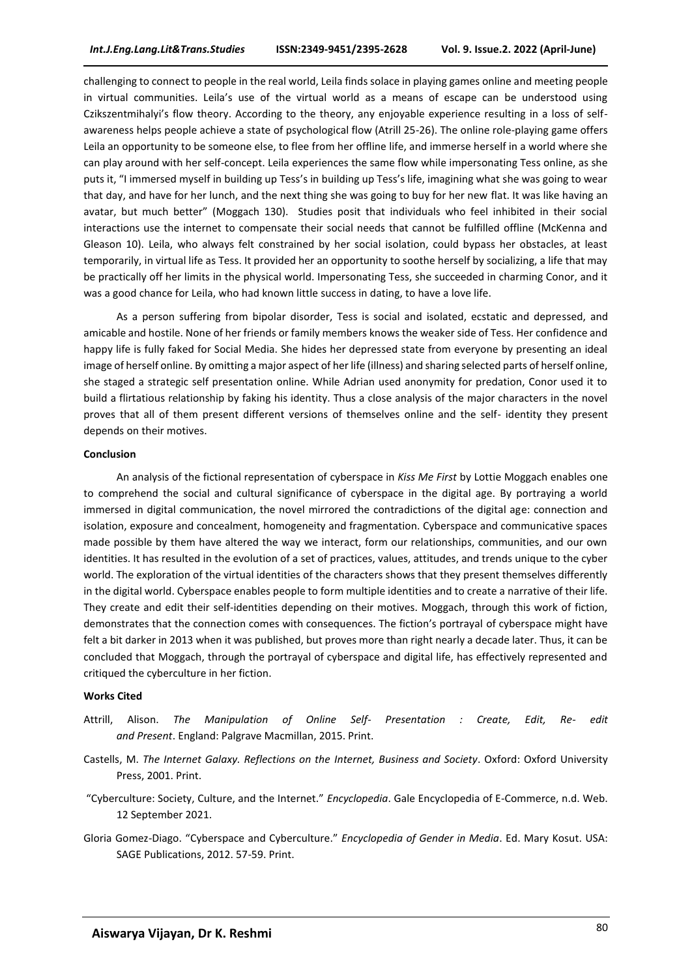challenging to connect to people in the real world, Leila finds solace in playing games online and meeting people in virtual communities. Leila's use of the virtual world as a means of escape can be understood using Czikszentmihalyi's flow theory. According to the theory, any enjoyable experience resulting in a loss of selfawareness helps people achieve a state of psychological flow (Atrill 25-26). The online role-playing game offers Leila an opportunity to be someone else, to flee from her offline life, and immerse herself in a world where she can play around with her self-concept. Leila experiences the same flow while impersonating Tess online, as she puts it, "I immersed myself in building up Tess's in building up Tess's life, imagining what she was going to wear that day, and have for her lunch, and the next thing she was going to buy for her new flat. It was like having an avatar, but much better" (Moggach 130). Studies posit that individuals who feel inhibited in their social interactions use the internet to compensate their social needs that cannot be fulfilled offline (McKenna and Gleason 10). Leila, who always felt constrained by her social isolation, could bypass her obstacles, at least temporarily, in virtual life as Tess. It provided her an opportunity to soothe herself by socializing, a life that may be practically off her limits in the physical world. Impersonating Tess, she succeeded in charming Conor, and it was a good chance for Leila, who had known little success in dating, to have a love life.

As a person suffering from bipolar disorder, Tess is social and isolated, ecstatic and depressed, and amicable and hostile. None of her friends or family members knows the weaker side of Tess. Her confidence and happy life is fully faked for Social Media. She hides her depressed state from everyone by presenting an ideal image of herself online. By omitting a major aspect of her life (illness) and sharing selected parts of herself online, she staged a strategic self presentation online. While Adrian used anonymity for predation, Conor used it to build a flirtatious relationship by faking his identity. Thus a close analysis of the major characters in the novel proves that all of them present different versions of themselves online and the self- identity they present depends on their motives.

#### **Conclusion**

An analysis of the fictional representation of cyberspace in *Kiss Me First* by Lottie Moggach enables one to comprehend the social and cultural significance of cyberspace in the digital age. By portraying a world immersed in digital communication, the novel mirrored the contradictions of the digital age: connection and isolation, exposure and concealment, homogeneity and fragmentation. Cyberspace and communicative spaces made possible by them have altered the way we interact, form our relationships, communities, and our own identities. It has resulted in the evolution of a set of practices, values, attitudes, and trends unique to the cyber world. The exploration of the virtual identities of the characters shows that they present themselves differently in the digital world. Cyberspace enables people to form multiple identities and to create a narrative of their life. They create and edit their self-identities depending on their motives. Moggach, through this work of fiction, demonstrates that the connection comes with consequences. The fiction's portrayal of cyberspace might have felt a bit darker in 2013 when it was published, but proves more than right nearly a decade later. Thus, it can be concluded that Moggach, through the portrayal of cyberspace and digital life, has effectively represented and critiqued the cyberculture in her fiction.

#### **Works Cited**

- Attrill, Alison. *The Manipulation of Online Self- Presentation : Create, Edit, Re- edit and Present*. England: Palgrave Macmillan, 2015. Print.
- Castells, M. *The Internet Galaxy. Reflections on the Internet, Business and Society*. Oxford: Oxford University Press, 2001. Print.
- "Cyberculture: Society, Culture, and the Internet." *Encyclopedia*. Gale Encyclopedia of E-Commerce, n.d. Web. 12 September 2021.
- Gloria Gomez-Diago. "Cyberspace and Cyberculture." *Encyclopedia of Gender in Media*. Ed. Mary Kosut. USA: SAGE Publications, 2012. 57-59. Print.